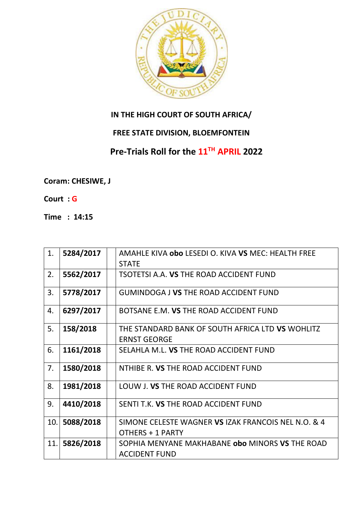

## **IN THE HIGH COURT OF SOUTH AFRICA/**

## **FREE STATE DIVISION, BLOEMFONTEIN**

## **Pre-Trials Roll for the 11TH APRIL 2022**

**Coram: CHESIWE, J** 

**Court : G**

**Time : 14:15**

| 1.  | 5284/2017 | AMAHLE KIVA obo LESEDI O. KIVA VS MEC: HEALTH FREE  |
|-----|-----------|-----------------------------------------------------|
|     |           | <b>STATE</b>                                        |
| 2.  | 5562/2017 | TSOTETSI A.A. VS THE ROAD ACCIDENT FUND             |
| 3.  | 5778/2017 | <b>GUMINDOGA J VS THE ROAD ACCIDENT FUND</b>        |
| 4.  | 6297/2017 | BOTSANE E.M. VS THE ROAD ACCIDENT FUND              |
| 5.  | 158/2018  | THE STANDARD BANK OF SOUTH AFRICA LTD VS WOHLITZ    |
|     |           | <b>ERNST GEORGE</b>                                 |
| 6.  | 1161/2018 | SELAHLA M.L. VS THE ROAD ACCIDENT FUND              |
| 7.  | 1580/2018 | NTHIBE R. VS THE ROAD ACCIDENT FUND                 |
| 8.  | 1981/2018 | LOUW J. VS THE ROAD ACCIDENT FUND                   |
| 9.  | 4410/2018 | SENTI T.K. VS THE ROAD ACCIDENT FUND                |
| 10. | 5088/2018 | SIMONE CELESTE WAGNER VS IZAK FRANCOIS NEL N.O. & 4 |
|     |           | OTHERS + 1 PARTY                                    |
| 11. | 5826/2018 | SOPHIA MENYANE MAKHABANE obo MINORS VS THE ROAD     |
|     |           | <b>ACCIDENT FUND</b>                                |
|     |           |                                                     |